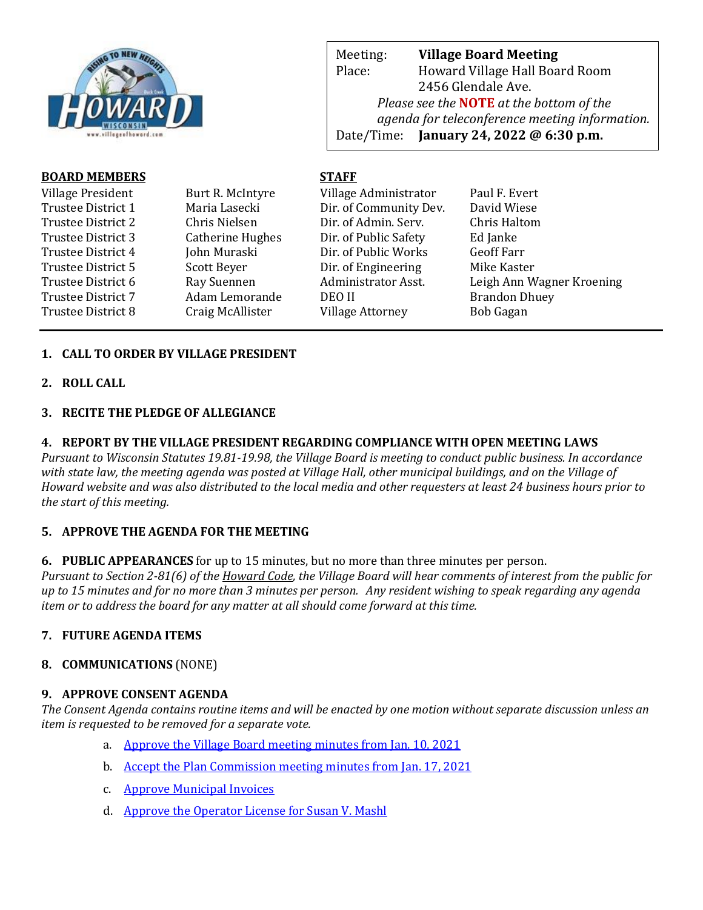

Meeting: **Village Board Meeting** Place: Howard Village Hall Board Room 2456 Glendale Ave. *Please see the* **NOTE** *at the bottom of the agenda for teleconference meeting information.*  Date/Time: **January 24, 2022 @ 6:30 p.m.**

web Page: www.villageoff.com

## **BOARD MEMBERS STAFF**

| Village President         | Burt R. McIntyre        | Village Administrator   | Paul F. Evert             |
|---------------------------|-------------------------|-------------------------|---------------------------|
| Trustee District 1        | Maria Lasecki           | Dir. of Community Dev.  | David Wiese               |
| Trustee District 2        | Chris Nielsen           | Dir. of Admin. Serv.    | Chris Haltom              |
| Trustee District 3        | <b>Catherine Hughes</b> | Dir. of Public Safety   | Ed Janke                  |
| Trustee District 4        | John Muraski            | Dir. of Public Works    | <b>Geoff Farr</b>         |
| Trustee District 5        | Scott Beyer             | Dir. of Engineering     | Mike Kaster               |
| Trustee District 6        | Ray Suennen             | Administrator Asst.     | Leigh Ann Wagner Kroening |
| <b>Trustee District 7</b> | Adam Lemorande          | DEO II                  | <b>Brandon Dhuey</b>      |
| Trustee District 8        | Craig McAllister        | <b>Village Attorney</b> | Bob Gagan                 |

## **1. CALL TO ORDER BY VILLAGE PRESIDENT**

**2. ROLL CALL**

## **3. RECITE THE PLEDGE OF ALLEGIANCE**

### **4. REPORT BY THE VILLAGE PRESIDENT REGARDING COMPLIANCE WITH OPEN MEETING LAWS**

*Pursuant to Wisconsin Statutes 19.81-19.98, the Village Board is meeting to conduct public business. In accordance with state law, the meeting agenda was posted at Village Hall, other municipal buildings, and on the Village of Howard website and was also distributed to the local media and other requesters at least 24 business hours prior to the start of this meeting.* 

## **5. APPROVE THE AGENDA FOR THE MEETING**

**6. PUBLIC APPEARANCES** for up to 15 minutes, but no more than three minutes per person.

*Pursuant to Section 2-81(6) of the Howard Code, the Village Board will hear comments of interest from the public for up to 15 minutes and for no more than 3 minutes per person. Any resident wishing to speak regarding any agenda item or to address the board for any matter at all should come forward at this time.* 

## **7. FUTURE AGENDA ITEMS**

## **8. COMMUNICATIONS** (NONE)

#### **9. APPROVE CONSENT AGENDA**

*The Consent Agenda contains routine items and will be enacted by one motion without separate discussion unless an item is requested to be removed for a separate vote.*

- a. [Approve the Village Board meeting minutes from Jan. 10, 2021](https://www.villageofhoward.com/DocumentCenter/View/8103/9a-VB-Minutes-01-10-22)
- b. [Accept the Plan Commission meeting minutes from Jan. 17, 2021](https://www.villageofhoward.com/DocumentCenter/View/8104/9b-PC-Minutes-01-17-22)
- c. [Approve Municipal Invoices](https://www.villageofhoward.com/DocumentCenter/View/8105/9c-Municipal-Invoices)
- d. [Approve the Operator License for Susan V. Mashl](https://www.villageofhoward.com/DocumentCenter/View/8106/9d-Operator-license)